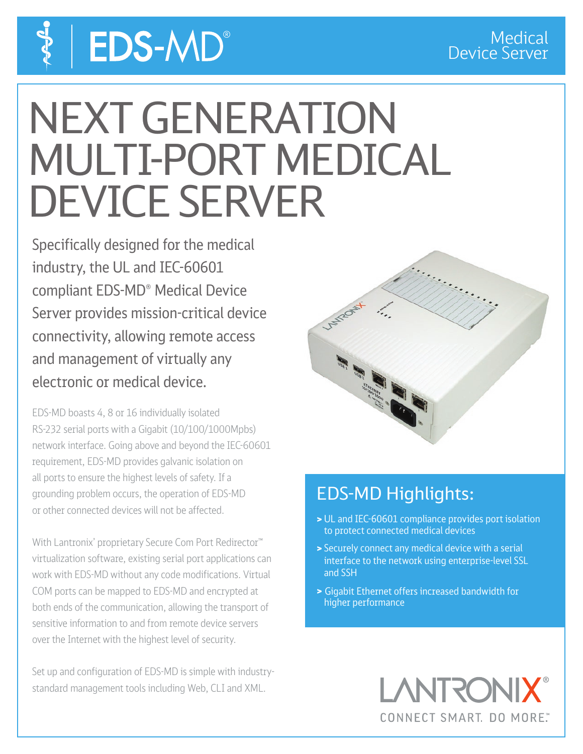# **EDS-MD®**

## NEXT GENERATION MULTI-PORT MEDICAL DEVICE SERVER

Specifically designed for the medical industry, the UL and IEC-60601 compliant EDS-MD® Medical Device Server provides mission-critical device connectivity, allowing remote access and management of virtually any electronic or medical device.

EDS-MD boasts 4, 8 or 16 individually isolated RS-232 serial ports with a Gigabit (10/100/1000Mpbs) network interface. Going above and beyond the IEC-60601 requirement, EDS-MD provides galvanic isolation on all ports to ensure the highest levels of safety. If a grounding problem occurs, the operation of EDS-MD or other connected devices will not be affected.

With Lantronix' proprietary Secure Com Port Redirector<sup>™</sup> virtualization software, existing serial port applications can work with EDS-MD without any code modifications. Virtual COM ports can be mapped to EDS-MD and encrypted at both ends of the communication, allowing the transport of sensitive information to and from remote device servers over the Internet with the highest level of security.

Set up and configuration of EDS-MD is simple with industrystandard management tools including Web, CLI and XML.



### EDS-MD Highlights:

- > UL and IEC-60601 compliance provides port isolation to protect connected medical devices
- > Securely connect any medical device with a serial interface to the network using enterprise-level SSL and SSH
- > Gigabit Ethernet offers increased bandwidth for higher performance